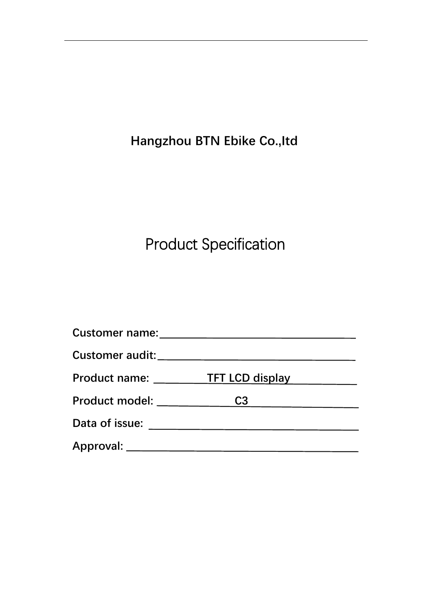**Hangzhou BTN Ebike Co.,Itd**

# Product Specification

| Customer name:                |                |  |
|-------------------------------|----------------|--|
|                               |                |  |
| Product name: TFT LCD display |                |  |
|                               | C <sub>3</sub> |  |
| Data of issue:                |                |  |
|                               |                |  |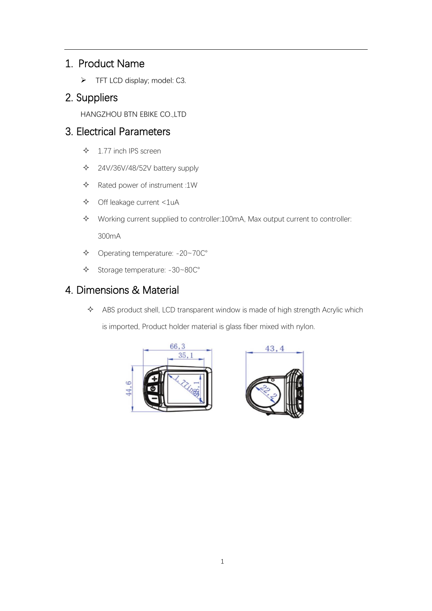## 1. Product Name

➢ TFT LCD display; model: C3.

### 2. Suppliers

HANGZHOU BTN EBIKE CO.,LTD

## 3. Electrical Parameters

- $\div$  1.77 inch IPS screen
- 24V/36V/48/52V battery supply
- $\triangle$  Rated power of instrument :1W
- Off leakage current <1uA
- Working current supplied to controller:100mA, Max output current to controller: 300mA
- Operating temperature: -20~70℃
- Storage temperature: -30~80℃

## 4. Dimensions & Material

 $\triangle$  ABS product shell, LCD transparent window is made of high strength Acrylic which is imported, Product holder material is glass fiber mixed with nylon.



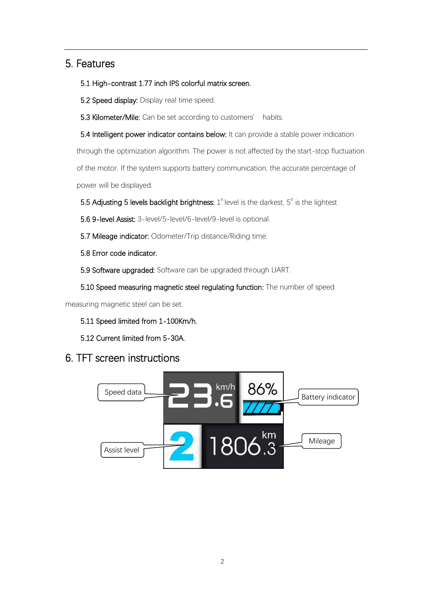### 5. Features

#### 5.1 High-contrast 1.77 inch IPS colorful matrix screen.

5.2 Speed display: Display real time speed.

5.3 Kilometer/Mile: Can be set according to customers' habits.

5.4 Intelligent power indicator contains below: It can provide a stable power indication through the optimization algorithm. The power is not affected by the start-stop fluctuation of the motor. If the system supports battery communication, the accurate percentage of power will be displayed.

5.5 Adjusting 5 levels backlight brightness:  $1<sup>st</sup>$  level is the darkest,  $5<sup>st</sup>$  is the lightest

5.6 9-level Assist: 3-level/5-level/6-level/9-level is optional.

5.7 Mileage indicator: Odometer/Trip distance/Riding time.

5.8 Error code indicator.

5.9 Software upgraded: Software can be upgraded through UART.

5.10 Speed measuring magnetic steel regulating function: The number of speed

measuring magnetic steel can be set.

5.11 Speed limited from 1-100Km/h.

5.12 Current limited from 5-30A.

### 6. TFT screen instructions

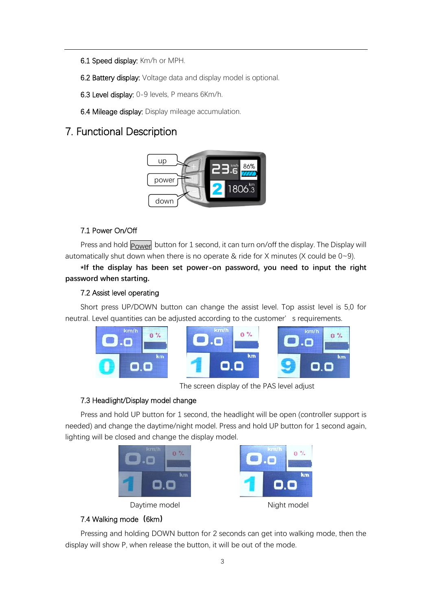- 6.1 Speed display: Km/h or MPH.
- 6.2 Battery display: Voltage data and display model is optional.
- 6.3 Level display: 0-9 levels, P means 6Km/h.
- 6.4 Mileage display: Display mileage accumulation.

# 7. Functional Description



#### 7.1 Power On/Off

Press and hold  $|_{\sf{Power}}$  button for 1 second, it can turn on/off the display. The Display will automatically shut down when there is no operate & ride for X minutes (X could be  $0 \sim 9$ ).

**\*If the display has been set power-on password, you need to input the right password when starting.**

#### 7.2 Assist level operating

Short press UP/DOWN button can change the assist level. Top assist level is 5,0 for neutral. Level quantities can be adjusted according to the customer's requirements.



The screen display of the PAS level adjust

#### 7.3 Headlight/Display model change

Press and hold UP button for 1 second, the headlight will be open (controller support is needed) and change the daytime/night model. Press and hold UP button for 1 second again, lighting will be closed and change the display model.

| km/h<br>٠ |   |    |
|-----------|---|----|
|           |   | km |
| $\sim$    | ٠ | ī  |



#### 7.4 Walking mode**(**6km**)**

Pressing and holding DOWN button for 2 seconds can get into walking mode, then the display will show P, when release the button, it will be out of the mode.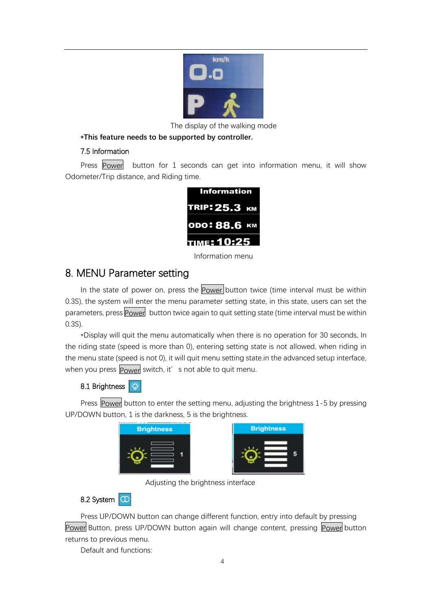

The display of the walking mode

#### **\*This feature needs to be supported by controller.**

#### 7.5 Information

Press Power button for 1 seconds can get into information menu, it will show Odometer/Trip distance, and Riding time.

| Information   |  |
|---------------|--|
| TRIP: 25.3 км |  |
| ODO: 88.6 KM  |  |
| TIME: 10:25   |  |

Information menu

### 8. MENU Parameter setting

In the state of power on, press the **Power** button twice (time interval must be within 0.3S), the system will enter the menu parameter setting state, in this state, users can set the parameters, press **Power** button twice again to quit setting state (time interval must be within 0.3S).

\*Display will quit the menu automatically when there is no operation for 30 seconds, In the riding state (speed is more than 0), entering setting state is not allowed, when riding in the menu state (speed is not 0), it will quit menu setting state.in the advanced setup interface, when you press <mark>Power</mark> switch, it'  $\,$  s not able to quit menu.

### 8.1 Brightness

Press Power button to enter the setting menu, adjusting the brightness 1-5 by pressing UP/DOWN button, 1 is the darkness, 5 is the brightness.

| <b>Brightness</b> |  |
|-------------------|--|
|                   |  |



Adjusting the brightness interface

#### 8.2 System **C**

Press UP/DOWN button can change different function, entry into default by pressing Power Button, press UP/DOWN button again will change content, pressing Power button returns to previous menu.

Default and functions: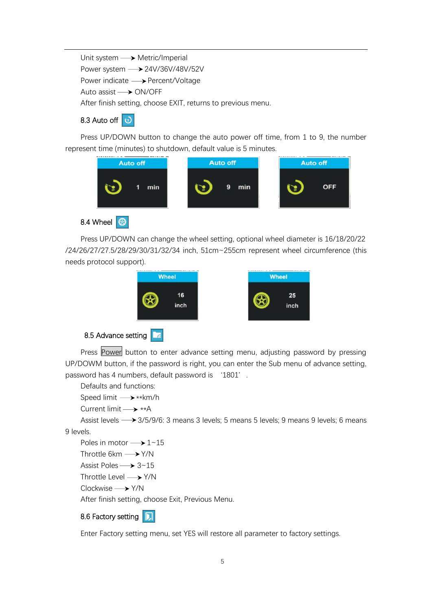Unit system  $\longrightarrow$  Metric/Imperial Power system  $\longrightarrow$  24V/36V/48V/52V Power indicate 
ightarrow Percent/Voltage Auto assist **> ON/OFF** After finish setting, choose EXIT, returns to previous menu.

### 8.3 Auto off  $\Theta$

Press UP/DOWN button to change the auto power off time, from 1 to 9, the number represent time (minutes) to shutdown, default value is 5 minutes.



8.4 Wheel  $\bigcirc$ 

Press UP/DOWN can change the wheel setting, optional wheel diameter is 16/18/20/22 /24/26/27/27.5/28/29/30/31/32/34 inch, 51cm~255cm represent wheel circumference (this needs protocol support).



Press Power button to enter advance setting menu, adjusting password by pressing UP/DOWM button, if the password is right, you can enter the Sub menu of advance setting, password has 4 numbers, default password is '1801'.

Defaults and functions:

Speed limit  $\longrightarrow$ \*\*km/h

Current limit  $\longrightarrow$  \*\*A

Assist levels  $\rightarrow$  3/5/9/6: 3 means 3 levels; 5 means 5 levels; 9 means 9 levels; 6 means 9 levels.

Poles in motor  $\longrightarrow$  1~15

Throttle 6km  $\longrightarrow$  Y/N

Assist Poles  $\rightarrow$  3~15

Throttle Level  $\longrightarrow$  Y/N

Clockwise -> Y/N

After finish setting, choose Exit, Previous Menu.

#### 8.6 Factory setting **D**

Enter Factory setting menu, set YES will restore all parameter to factory settings.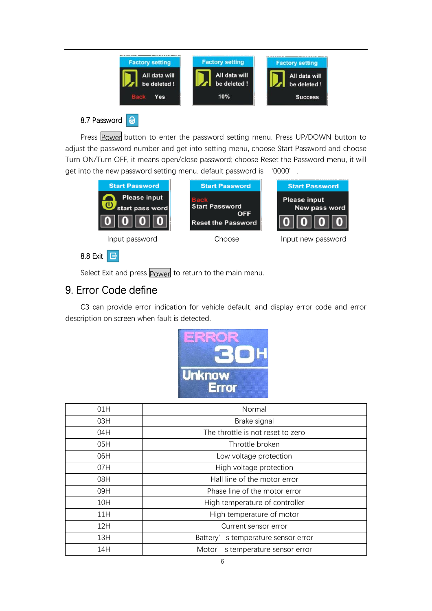

### 8.7 Password **o**

Press Power button to enter the password setting menu. Press UP/DOWN button to adjust the password number and get into setting menu, choose Start Password and choose Turn ON/Turn OFF, it means open/close password; choose Reset the Password menu, it will get into the new password setting menu. default password is '0000'.



Select Exit and press **Power** to return to the main menu.

# 9. Error Code define

C3 can provide error indication for vehicle default, and display error code and error description on screen when fault is detected.



| 01H | Normal                             |
|-----|------------------------------------|
| 03H | Brake signal                       |
| 04H | The throttle is not reset to zero  |
| 05H | Throttle broken                    |
| 06H | Low voltage protection             |
| 07H | High voltage protection            |
| 08H | Hall line of the motor error       |
| 09H | Phase line of the motor error      |
| 10H | High temperature of controller     |
| 11H | High temperature of motor          |
| 12H | Current sensor error               |
| 13H | Battery's temperature sensor error |
| 14H | Motor's temperature sensor error   |